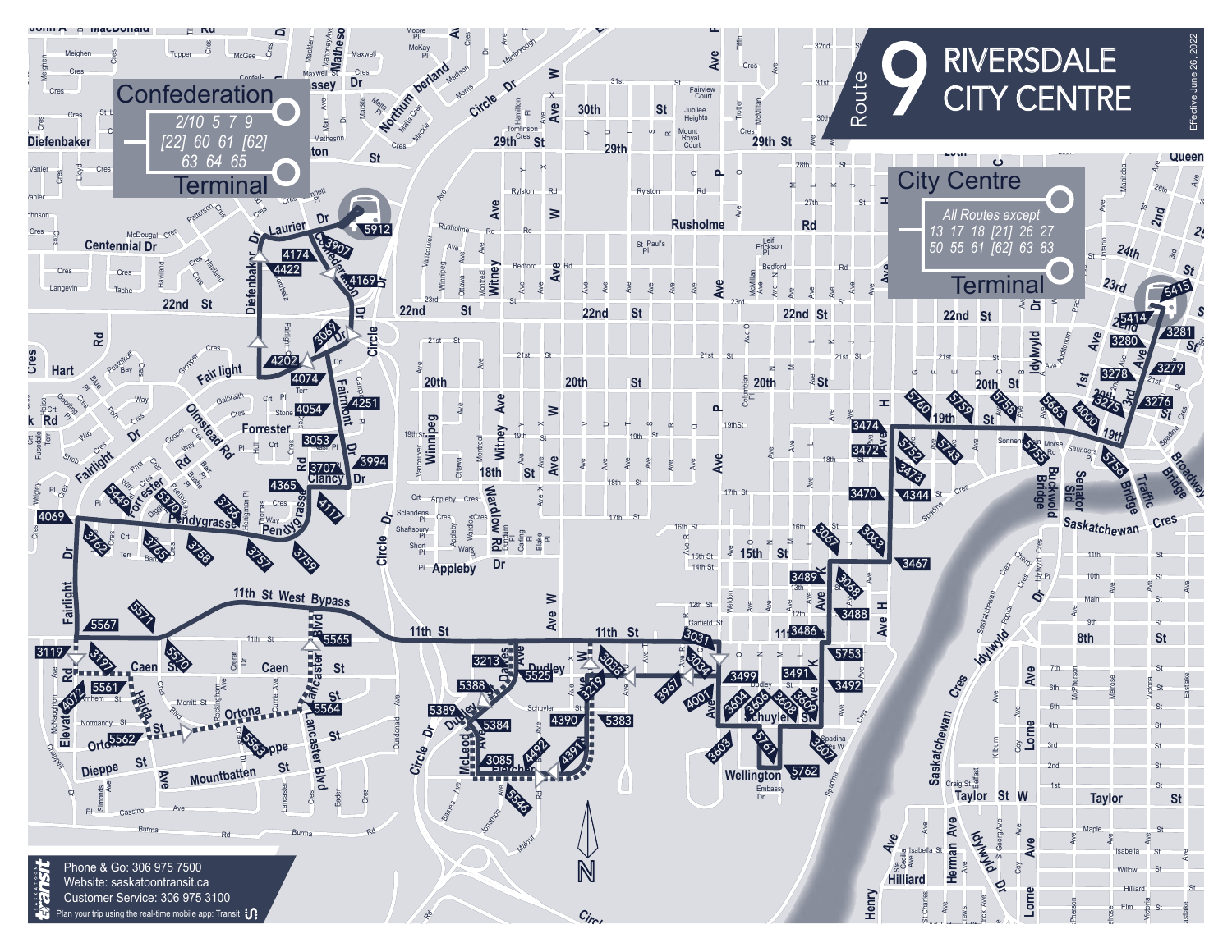